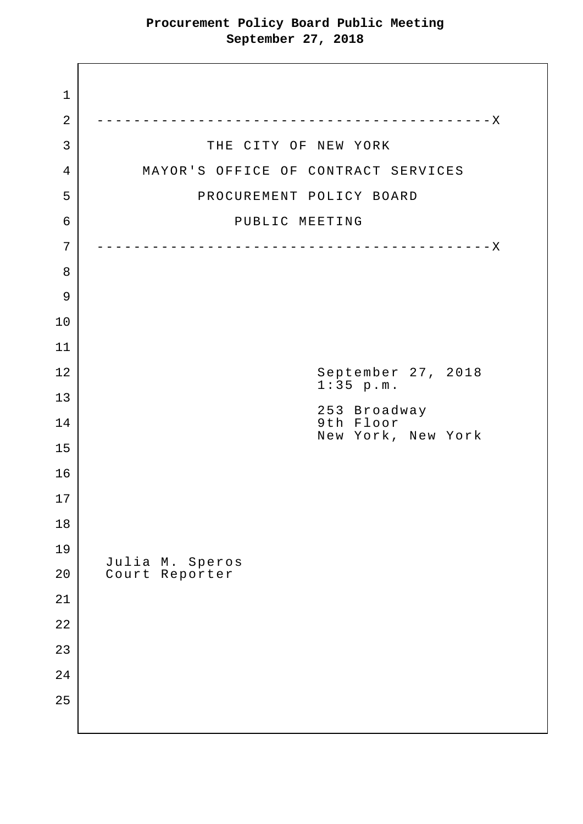| $\mathbf{1}$   |                                     |  |  |  |  |
|----------------|-------------------------------------|--|--|--|--|
| $\overline{2}$ | ----------------------------X       |  |  |  |  |
| 3              | THE CITY OF NEW YORK                |  |  |  |  |
| 4              | MAYOR'S OFFICE OF CONTRACT SERVICES |  |  |  |  |
| 5              | PROCUREMENT POLICY BOARD            |  |  |  |  |
| 6              | PUBLIC MEETING                      |  |  |  |  |
| 7              |                                     |  |  |  |  |
| 8              |                                     |  |  |  |  |
| 9              |                                     |  |  |  |  |
| 10             |                                     |  |  |  |  |
| 11             |                                     |  |  |  |  |
| 12             | September 27, 2018<br>$1:35$ p.m.   |  |  |  |  |
| 13             | 253 Broadway                        |  |  |  |  |
| 14             | 9th Floor<br>New York, New York     |  |  |  |  |
| 15             |                                     |  |  |  |  |
| 16             |                                     |  |  |  |  |
| 17             |                                     |  |  |  |  |
| $1\,8$         |                                     |  |  |  |  |
| 19             | Julia M. Speros                     |  |  |  |  |
| 20             | Court Reporter                      |  |  |  |  |
| $2\sqrt{1}$    |                                     |  |  |  |  |
| 22             |                                     |  |  |  |  |
| 23             |                                     |  |  |  |  |
| 24             |                                     |  |  |  |  |
| 25             |                                     |  |  |  |  |
|                |                                     |  |  |  |  |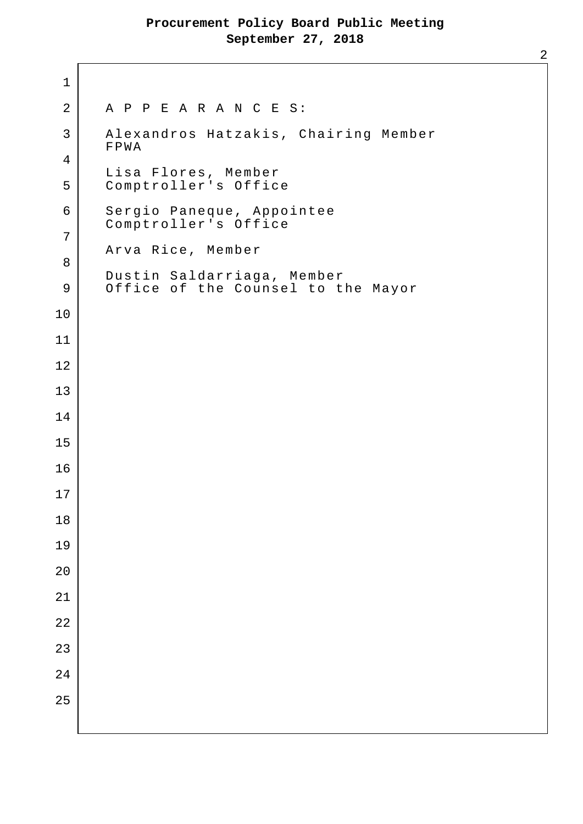2 A P P E A R A N C E S: 3 Alexandros Hatzakis, Chairing Member FPWA Lisa Flores, Member 5 Comptroller's Office 6 Sergio Paneque, Appointee Comptroller's Office Arva Rice, Member Dustin Saldarriaga, Member 9 Office of the Counsel to the Mayor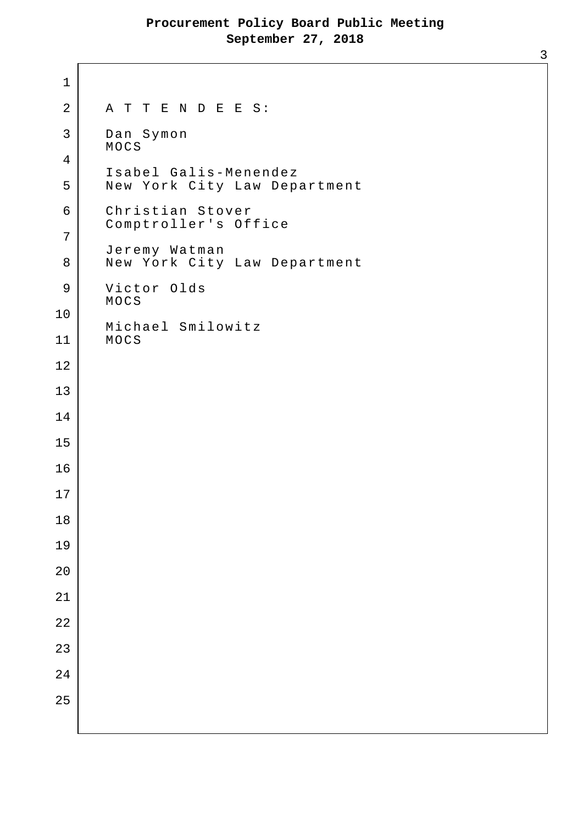1 2 A T T E N D E E S: 3 Dan Symon MOCS 4 Isabel Galis-Menendez 5 New York City Law Department 6 Christian Stover Comptroller's Office 7 Jeremy Watman 8 New York City Law Department 9 | Victor Olds MOCS 10 Michael Smilowitz 11 MOCS 12 13 14 15 16 17 18 19 20 21 22 23 24 25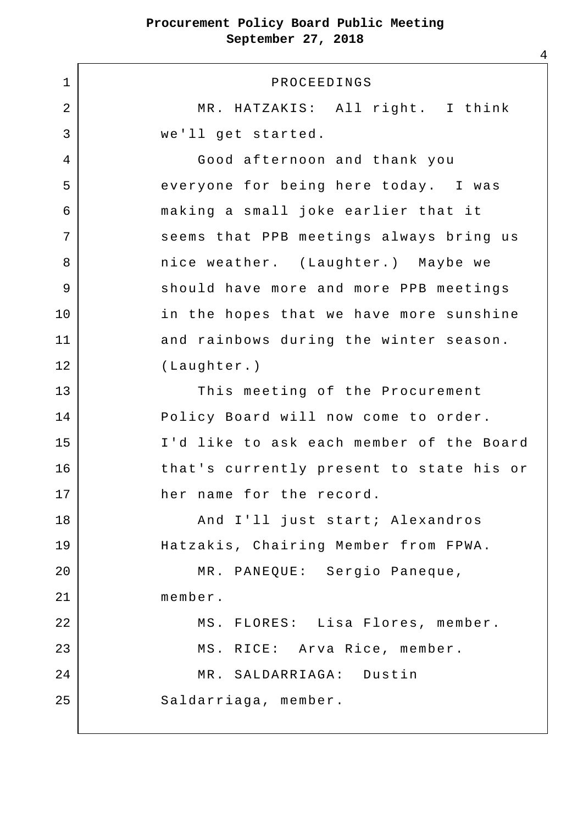1 PROCEEDINGS 2 MR. HATZAKIS: All right. I think 3 we'll get started. 4 Good afternoon and thank you 5 | everyone for being here today. I was 6 making a small joke earlier that it 7 | Seems that PPB meetings always bring us 8 | Thice weather. (Laughter.) Maybe we 9 Should have more and more PPB meetings 10 in the hopes that we have more sunshine 11 and rainbows during the winter season. 12 (Laughter.) 13 This meeting of the Procurement 14 Policy Board will now come to order. 15 I'd like to ask each member of the Board 16 that's currently present to state his or 17 her name for the record. 18 And I'll just start; Alexandros 19 | Hatzakis, Chairing Member from FPWA. 20 MR. PANEQUE: Sergio Paneque, 21 member. 22 MS. FLORES: Lisa Flores, member. 23 | MS. RICE: Arva Rice, member. 24 MR. SALDARRIAGA: Dustin 25 Saldarriaga, member.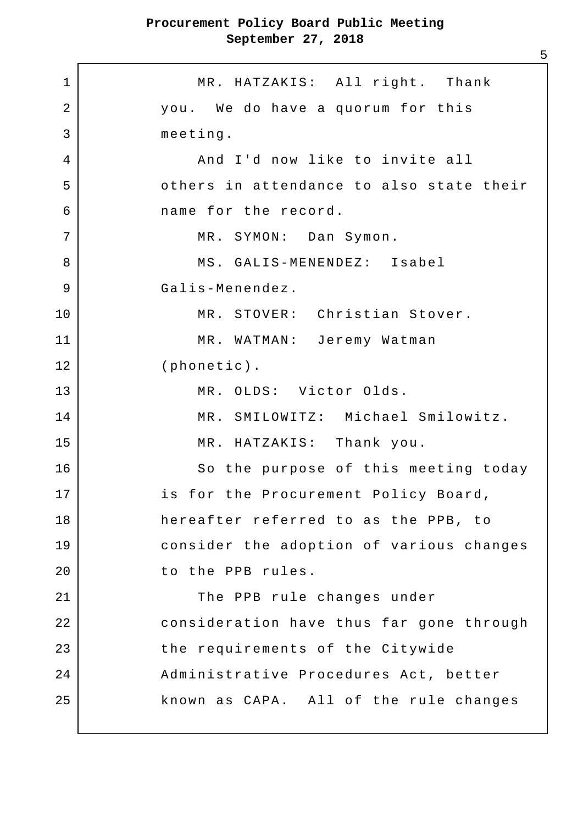1 MR. HATZAKIS: All right. Thank 2 you. We do have a quorum for this 3 meeting. 4 And I'd now like to invite all 5 others in attendance to also state their 6 name for the record. 7 | MR. SYMON: Dan Symon. 8 MS. GALIS-MENENDEZ: Isabel 9 Galis-Menendez. 10 MR. STOVER: Christian Stover. 11 MR. WATMAN: Jeremy Watman 12 (phonetic). 13 MR. OLDS: Victor Olds. 14 MR. SMILOWITZ: Michael Smilowitz. 15 MR. HATZAKIS: Thank you. 16 So the purpose of this meeting today 17 is for the Procurement Policy Board, 18 hereafter referred to as the PPB, to 19 consider the adoption of various changes 20 to the PPB rules. 21 The PPB rule changes under 22 consideration have thus far gone through 23 the requirements of the Citywide 24 | Administrative Procedures Act, better 25 known as CAPA. All of the rule changes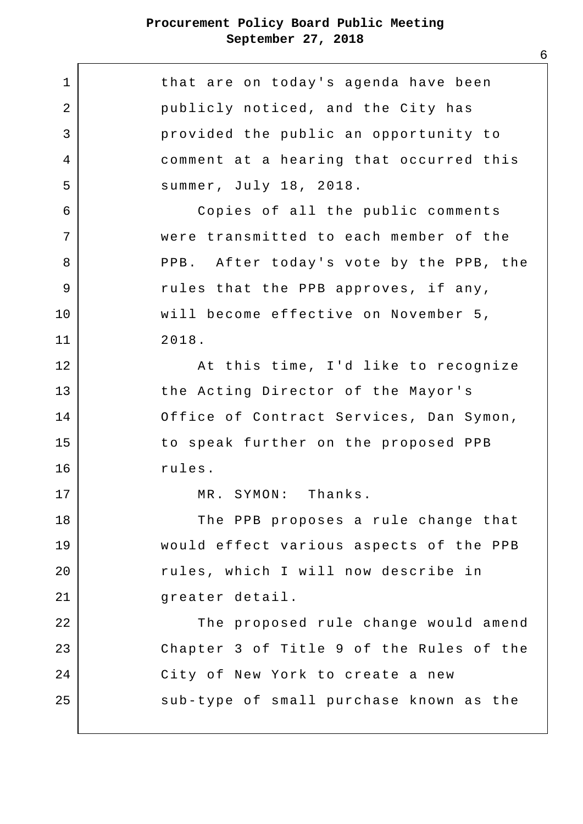| 1              | that are on today's agenda have been     |
|----------------|------------------------------------------|
| $\overline{2}$ | publicly noticed, and the City has       |
| 3              | provided the public an opportunity to    |
| 4              | comment at a hearing that occurred this  |
| 5              | summer, July 18, 2018.                   |
| 6              | Copies of all the public comments        |
| 7              | were transmitted to each member of the   |
| 8              | PPB. After today's vote by the PPB, the  |
| 9              | rules that the PPB approves, if any,     |
| 10             | will become effective on November 5,     |
| 11             | 2018.                                    |
| 12             | At this time, I'd like to recognize      |
| 13             | the Acting Director of the Mayor's       |
| 14             | Office of Contract Services, Dan Symon,  |
| 15             | to speak further on the proposed PPB     |
| 16             | rules.                                   |
| 17             | MR. SYMON: Thanks.                       |
| 18             | The PPB proposes a rule change that      |
| 19             | would effect various aspects of the PPB  |
| 20             | rules, which I will now describe in      |
| 21             | greater detail.                          |
| 22             | The proposed rule change would amend     |
| 23             | Chapter 3 of Title 9 of the Rules of the |
| 24             | City of New York to create a new         |
| 25             | sub-type of small purchase known as the  |
|                |                                          |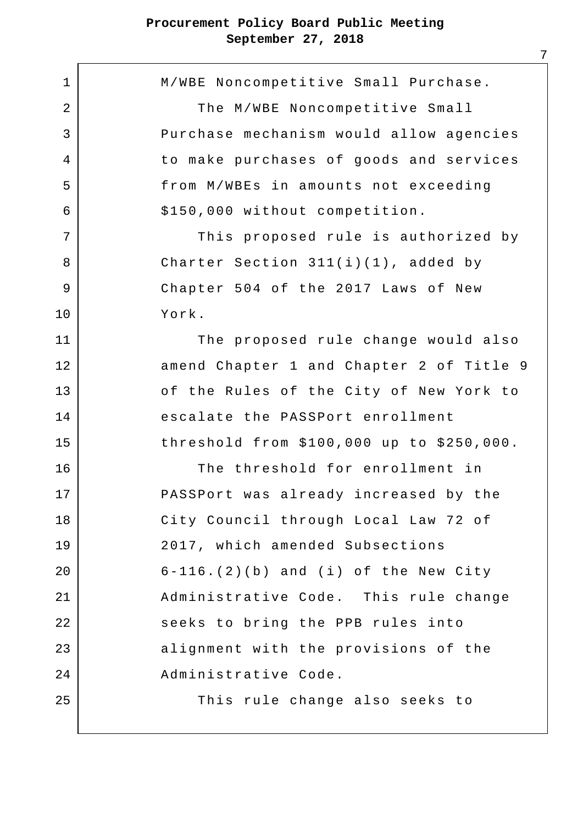1 M/WBE Noncompetitive Small Purchase. 2 | The M/WBE Noncompetitive Small 3 Purchase mechanism would allow agencies 4 to make purchases of goods and services 5 from M/WBEs in amounts not exceeding  $6$   $$150,000$  without competition. 7 | This proposed rule is authorized by 8 | Charter Section 311(i)(1), added by 9 Chapter 504 of the 2017 Laws of New 10 York. 11 The proposed rule change would also 12 amend Chapter 1 and Chapter 2 of Title 9 13 of the Rules of the City of New York to 14 escalate the PASSPort enrollment 15 threshold from \$100,000 up to \$250,000. 16 The threshold for enrollment in 17 PASSPort was already increased by the 18 City Council through Local Law 72 of 19 2017, which amended Subsections 20 6-116.(2)(b) and (i) of the New City 21 Administrative Code. This rule change 22 seeks to bring the PPB rules into 23 alignment with the provisions of the 24 Administrative Code. 25 | This rule change also seeks to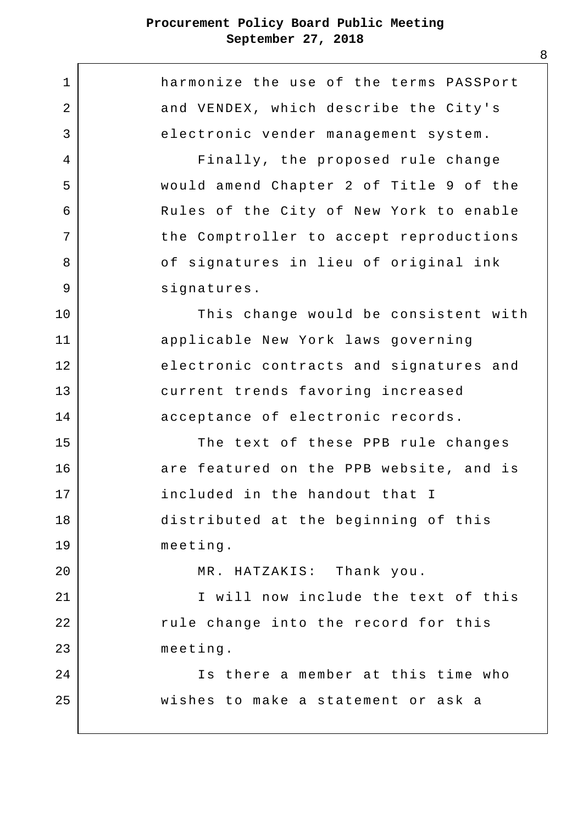1 **harmonize** the use of the terms PASSPort 2 and VENDEX, which describe the City's 3 electronic vender management system. 4 Finally, the proposed rule change 5 would amend Chapter 2 of Title 9 of the 6 Rules of the City of New York to enable 7 | the Comptroller to accept reproductions 8 | contractures in lieu of original ink 9 | signatures. 10 This change would be consistent with 11 applicable New York laws governing 12 electronic contracts and signatures and 13 current trends favoring increased 14 acceptance of electronic records. 15 The text of these PPB rule changes 16 are featured on the PPB website, and is 17 included in the handout that I 18 distributed at the beginning of this 19 meeting. 20 MR. HATZAKIS: Thank you. 21 | I will now include the text of this 22 | Tule change into the record for this 23 meeting. 24 Is there a member at this time who 25 wishes to make a statement or ask a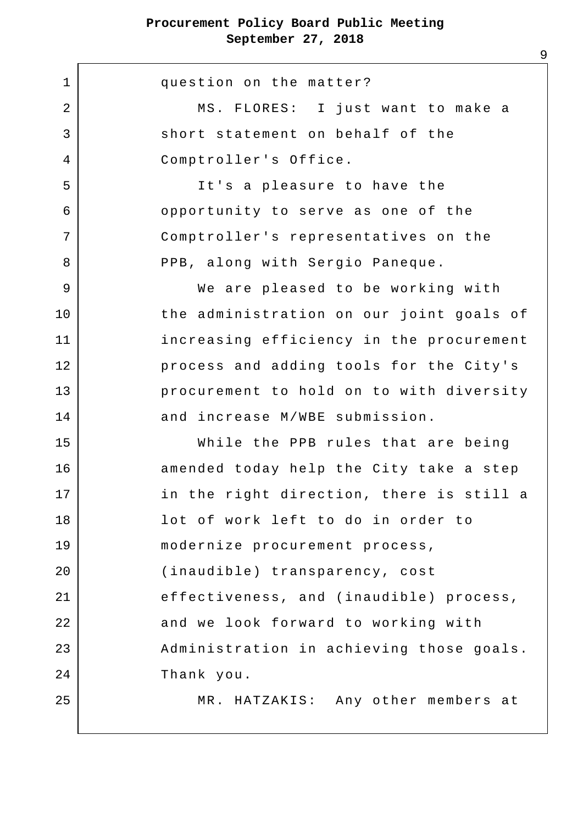1 question on the matter? 2 | MS. FLORES: I just want to make a 3 Short statement on behalf of the 4 Comptroller's Office. 5 It's a pleasure to have the 6 opportunity to serve as one of the 7 Comptroller's representatives on the 8 PPB, along with Sergio Paneque. 9 | We are pleased to be working with 10 the administration on our joint goals of 11 increasing efficiency in the procurement 12 process and adding tools for the City's 13 procurement to hold on to with diversity 14 and increase M/WBE submission. 15 While the PPB rules that are being 16 amended today help the City take a step 17 in the right direction, there is still a 18 lot of work left to do in order to 19 modernize procurement process, 20 (inaudible) transparency, cost 21 effectiveness, and (inaudible) process, 22 and we look forward to working with 23 | Administration in achieving those goals. 24 Thank you. 25 MR. HATZAKIS: Any other members at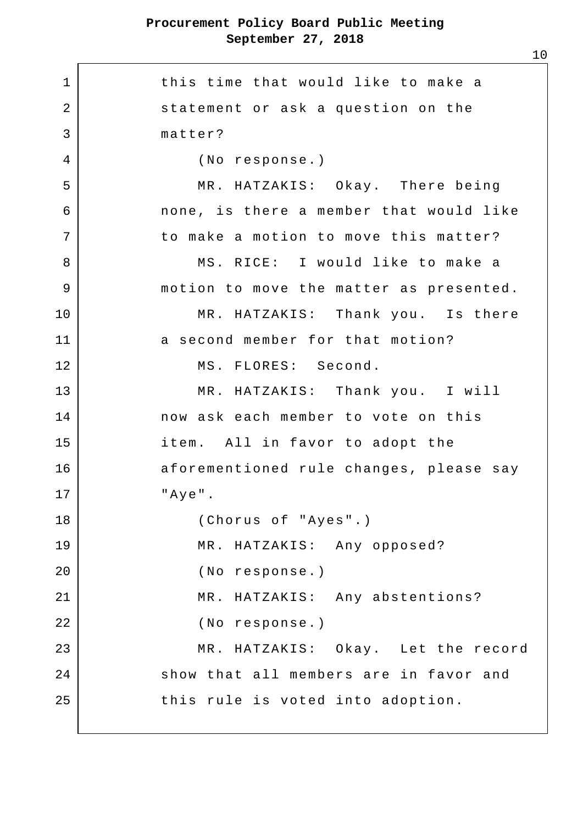1 1 this time that would like to make a 2 statement or ask a question on the 3 matter? 4 (No response.) 5 MR. HATZAKIS: Okay. There being 6 none, is there a member that would like 7 to make a motion to move this matter? 8 | MS. RICE: I would like to make a 9 | motion to move the matter as presented. 10 | MR. HATZAKIS: Thank you. Is there 11 a second member for that motion? 12 MS. FLORES: Second. 13 MR. HATZAKIS: Thank you. I will 14 now ask each member to vote on this 15 item. All in favor to adopt the 16 aforementioned rule changes, please say  $17$   $"$   $"$   $Aye"$ . 18 (Chorus of "Ayes".) 19 MR. HATZAKIS: Any opposed? 20 (No response.) 21 | MR. HATZAKIS: Any abstentions? 22 (No response.) 23 MR. HATZAKIS: Okay. Let the record 24 show that all members are in favor and 25 this rule is voted into adoption.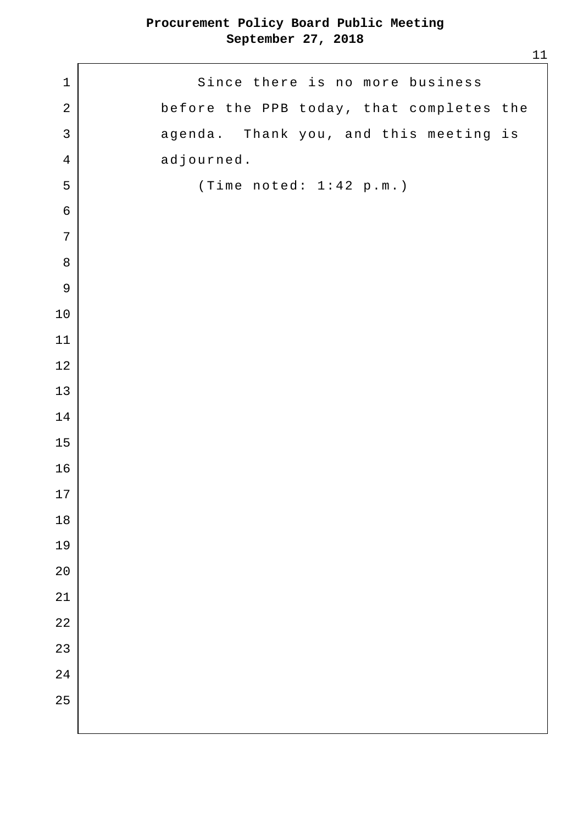1 Since there is no more business 2 before the PPB today, that completes the 3 agenda. Thank you, and this meeting is 4 adjourned. 5 (Time noted: 1:42 p.m.)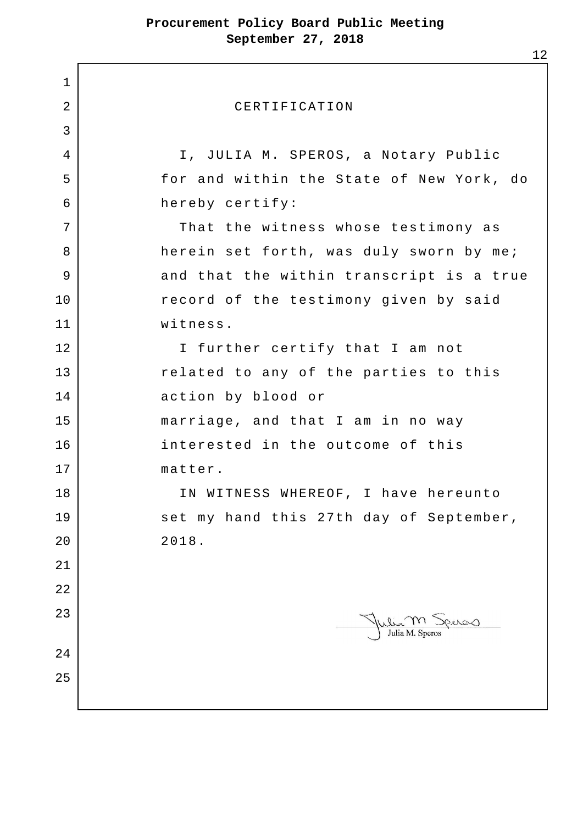1 2 CERTIFICATION 3 4 I, JULIA M. SPEROS, a Notary Public 5 for and within the State of New York, do 6 hereby certify: 7 | That the witness whose testimony as 8 herein set forth, was duly sworn by me; 9 and that the within transcript is a true 10 record of the testimony given by said 11 witness. 12 I further certify that I am not 13 related to any of the parties to this 14 action by blood or 15 marriage, and that I am in no way 16 interested in the outcome of this 17 matter. 18 | TN WITNESS WHEREOF, I have hereunto 19 set my hand this 27th day of September, 20 2018. 21 22 23 Julia M. Speros  $\mathbf{L}$ 24 25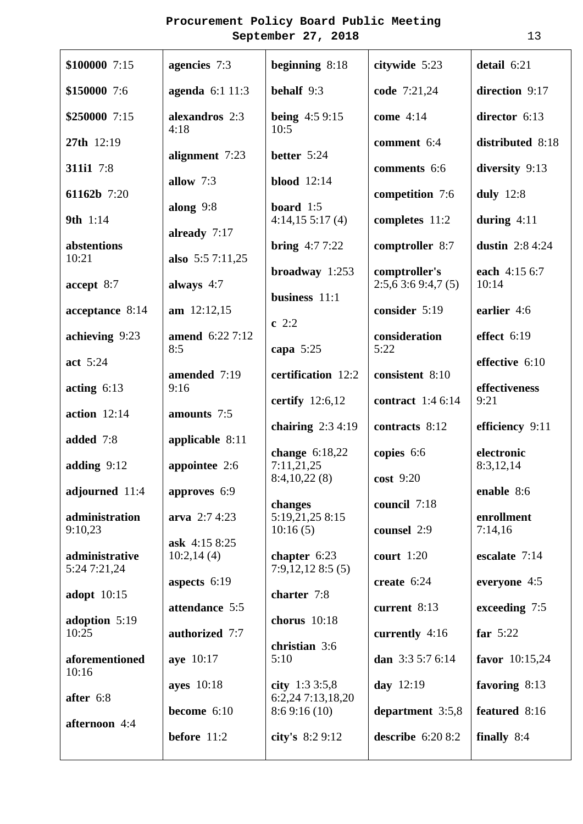| \$150000 7:6<br>agenda 6:1 11:3<br>behalf 9:3<br>code 7:21,24<br>direction 9:17                                    |  |
|--------------------------------------------------------------------------------------------------------------------|--|
|                                                                                                                    |  |
| \$250000 7:15<br>alexandros 2:3<br><b>being</b> $4:59:15$<br>come 4:14<br>director 6:13<br>4:18<br>10:5            |  |
| 27th 12:19<br>distributed 8:18<br>comment 6:4<br>alignment 7:23<br>better 5:24                                     |  |
| 311i1 7:8<br>diversity 9:13<br>comments 6:6<br><b>blood</b> 12:14<br>allow 7:3                                     |  |
| 61162b 7:20<br>duly $12:8$<br>competition 7:6<br>along $9:8$<br>board $1:5$                                        |  |
| 9th 1:14<br>during $4:11$<br>4:14,155:17(4)<br>completes 11:2<br>already 7:17                                      |  |
| <b>bring</b> $4:77:22$<br>comptroller 8:7<br>dustin $2:84:24$<br>abstentions<br>10:21<br>also $5:57:11,25$         |  |
| broadway $1:253$<br>comptroller's<br>each 4:15 6:7<br>accept 8:7<br>always 4:7<br>2:5,63:69:4,7(5)<br>10:14        |  |
| business 11:1<br>$am$ 12:12,15<br>consider 5:19<br>earlier 4:6<br>acceptance 8:14                                  |  |
| $c$ 2:2<br>achieving 9:23<br>consideration<br>effect 6:19<br>amend 6:22 7:12                                       |  |
| 5:22<br>8:5<br>capa $5:25$<br>act 5:24<br>effective 6:10                                                           |  |
| certification 12:2<br>amended 7:19<br>consistent 8:10<br>effectiveness<br>acting $6:13$<br>9:16                    |  |
| certify $12:6,12$<br><b>contract</b> 1:4 6:14<br>9:21<br>action $12:14$<br>amounts 7:5                             |  |
| chairing $2:34:19$<br>contracts 8:12<br>efficiency 9:11<br>added 7:8<br>applicable $8:11$                          |  |
| electronic<br>change $6:18,22$<br>copies 6:6<br>7:11,21,25<br>8:3,12,14<br>adding $9:12$<br>appointee 2:6          |  |
| 8:4,10,22(8)<br>cost 9:20<br>approves 6:9<br>adjourned 11:4<br>enable 8:6                                          |  |
| council 7:18<br>changes<br>administration<br>5:19,21,25 8:15<br>enrollment<br>arva $2:74:23$                       |  |
| 9:10,23<br>7:14,16<br>10:16(5)<br>counsel 2:9<br>ask $4:158:25$                                                    |  |
| escalate 7:14<br>administrative<br>10:2,14(4)<br>chapter $6:23$<br>court $1:20$<br>7:9,12,128:5(5)<br>5:24 7:21,24 |  |
| aspects $6:19$<br>create 6:24<br>everyone 4:5<br>charter 7:8<br>adopt $10:15$                                      |  |
| attendance 5:5<br>current 8:13<br>exceeding 7:5<br>chorus $10:18$<br>adoption 5:19                                 |  |
| 10:25<br>authorized 7:7<br>far $5:22$<br>currently 4:16<br>christian 3:6                                           |  |
| 5:10<br>dan 3:3 5:7 6:14<br>aforementioned<br>aye 10:17<br>favor $10:15,24$<br>10:16                               |  |
| ayes 10:18<br>city $1:33:5,8$<br>day 12:19<br>favoring 8:13<br>6:2,24 7:13,18,20<br>after 6:8                      |  |
| become 6:10<br>8:69:16(10)<br>featured 8:16<br>department $3:5,8$<br>afternoon 4:4                                 |  |
| before 11:2<br>city's 8:2 9:12<br>describe $6:208:2$<br>finally 8:4                                                |  |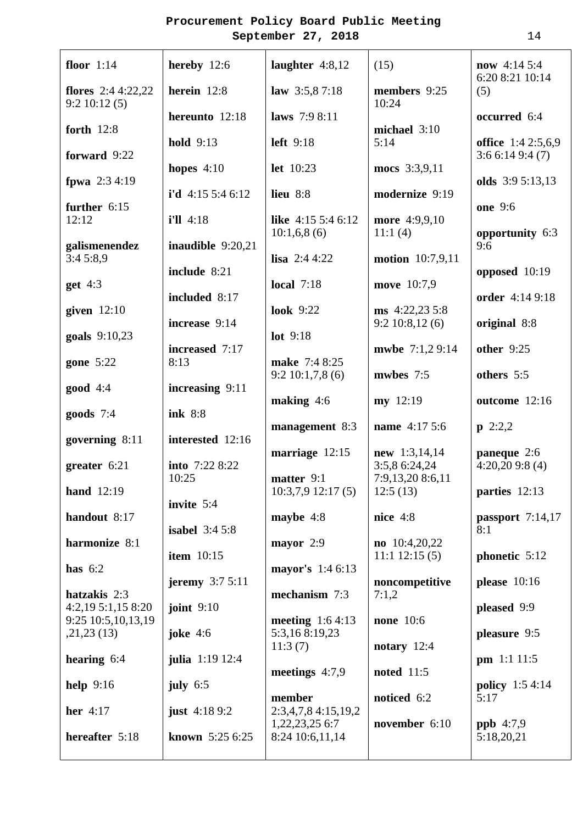| floor $1:14$                           | hereby $12:6$           | laughter $4:8,12$                     | (15)                             | <b>now</b> 4:14 5:4<br>6:20 8:21 10:14     |
|----------------------------------------|-------------------------|---------------------------------------|----------------------------------|--------------------------------------------|
| flores $2:44:22,22$<br>9:2 10:12(5)    | herein 12:8             | law 3:5,87:18                         | members 9:25<br>10:24            | (5)                                        |
| forth $12:8$                           | hereunto 12:18          | laws 7:9 8:11                         | michael 3:10                     | occurred 6:4                               |
| forward 9:22                           | <b>hold</b> 9:13        | <b>left</b> 9:18                      | 5:14                             | <b>office</b> 1:4 2:5,6,9<br>3:66:149:4(7) |
| fpwa $2:34:19$                         | hopes $4:10$            | let 10:23                             | mocs 3:3,9,11                    | olds 3:9 5:13,13                           |
| further $6:15$                         | i'd 4:15 5:4 6:12       | lieu 8:8                              | modernize 9:19                   | <b>one</b> 9:6                             |
| 12:12                                  | $i'll$ 4:18             | like $4:155:46:12$<br>10:1,6,8(6)     | more 4:9,9,10<br>11:1(4)         | opportunity 6:3                            |
| galismenendez<br>3:45:8,9              | inaudible 9:20,21       | <b>lisa</b> 2:4 4:22                  | <b>motion</b> 10:7,9,11          | 9:6                                        |
| get $4:3$                              | include 8:21            | <b>local</b> 7:18                     | move 10:7,9                      | opposed 10:19                              |
| given $12:10$                          | included 8:17           | <b>look</b> 9:22                      | $ms\;4:22,23\;5:8$               | order 4:14 9:18                            |
| goals 9:10,23                          | increase 9:14           | lot 9:18                              | 9:2 10:8,12(6)                   | original 8:8                               |
| gone 5:22                              | increased 7:17<br>8:13  | make 7:4 8:25                         | mwbe 7:1,2 9:14                  | other 9:25                                 |
| $good$ 4:4                             | increasing 9:11         | 9:210:1,7,8(6)                        | mwbes 7:5                        | others 5:5                                 |
| goods $7:4$                            | ink 8:8                 | making $4:6$                          | my 12:19                         | outcome 12:16                              |
| governing $8:11$                       | interested 12:16        | management 8:3                        | name 4:17 5:6                    | $p \ 2:2,2$                                |
| greater $6:21$                         | into 7:22 8:22          | marriage $12:15$                      | $new$ 1:3,14,14<br>3:5,8 6:24,24 | paneque 2:6<br>4:20,209:8(4)               |
| <b>hand</b> 12:19                      | 10:25                   | matter 9:1<br>$10:3,7,9$ 12:17 (5)    | 7:9,13,20 8:6,11<br>12:5(13)     | parties 12:13                              |
| handout 8:17                           | invite 5:4              | maybe $4:8$                           | nice $4:8$                       | passport $7:14,17$                         |
| harmonize 8:1                          | <b>isabel</b> $3:45:8$  | mayor $2:9$                           | $no$ 10:4,20,22                  | 8:1                                        |
| has $6:2$                              | <b>item</b> 10:15       | mayor's 1:4 6:13                      | $11:1$ 12:15 (5)                 | phonetic 5:12                              |
| hatzakis 2:3                           | jeremy $3:75:11$        | mechanism 7:3                         | noncompetitive<br>7:1,2          | please $10:16$                             |
| 4:2,195:1,158:20<br>9:25 10:5,10,13,19 | joint $9:10$            | meeting $1:64:13$                     | <b>none</b> 10:6                 | pleased 9:9                                |
| ,21,23(13)                             | joke $4:6$              | 5:3,168:19,23<br>11:3(7)              | notary $12:4$                    | pleasure 9:5                               |
| hearing $6:4$                          | julia 1:19 12:4         | meetings $4:7,9$                      | <b>noted</b> 11:5                | $pm$ 1:1 11:5                              |
| help $9:16$                            | july $6:5$              | member                                | noticed 6:2                      | <b>policy</b> 1:5 4:14<br>5:17             |
| her 4:17                               | <b>just</b> 4:18 9:2    | 2:3,4,7,8 4:15,19,2<br>1,22,23,25 6:7 | november 6:10                    | $ppb$ 4:7,9                                |
| hereafter 5:18                         | <b>known</b> $5:256:25$ | 8:24 10:6,11,14                       |                                  | 5:18,20,21                                 |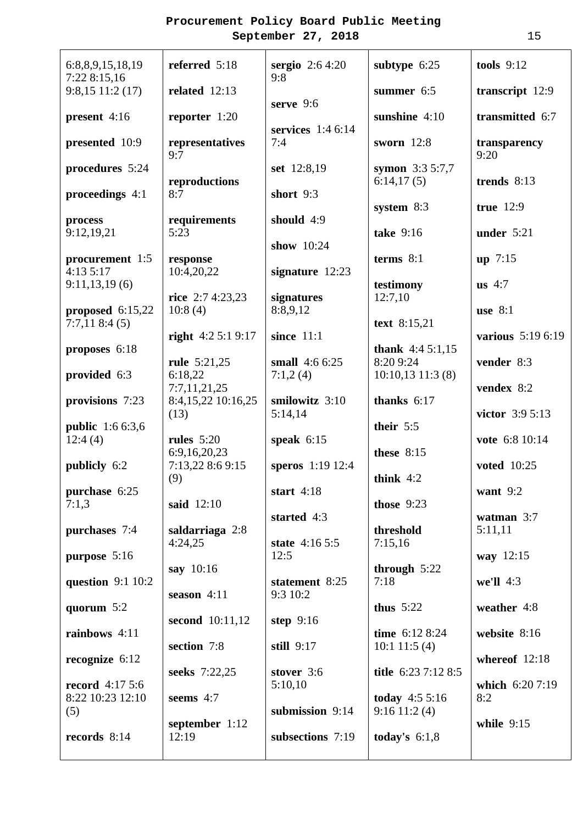| 6:8,8,9,15,18,19<br>7:22 8:15,16   | referred 5:18                    | <b>sergio</b> $2:64:20$<br>9:8      | subtype 6:25                       | tools $9:12$         |
|------------------------------------|----------------------------------|-------------------------------------|------------------------------------|----------------------|
| $9:8,15$ 11:2 (17)                 | related $12:13$                  | serve $9:6$                         | summer 6:5                         | transcript 12:9      |
| present 4:16                       | reporter $1:20$                  | services $1:46:14$                  | sunshine $4:10$                    | transmitted 6:7      |
| presented 10:9                     | representatives<br>9:7           | 7:4                                 | sworn $12:8$                       | transparency<br>9:20 |
| procedures 5:24                    | reproductions                    | set 12:8,19                         | symon $3:35:7,7$<br>6:14,17(5)     | trends 8:13          |
| proceedings 4:1                    | 8:7                              | short 9:3                           | system 8:3                         | true 12:9            |
| process<br>9:12,19,21              | requirements<br>5:23             | should 4:9                          | take 9:16                          | under $5:21$         |
| procurement 1:5                    | response                         | show 10:24                          | terms 8:1                          | up 7:15              |
| 4:13 5:17                          | 10:4,20,22                       | signature $12:23$                   |                                    |                      |
| 9:11,13,19(6)                      | rice $2:74:23,23$                | signatures                          | testimony<br>12:7,10               | $us$ 4:7             |
| proposed $6:15,22$<br>7:7,118:4(5) | 10:8(4)                          | 8:8,9,12                            | text 8:15,21                       | use $8:1$            |
| proposes 6:18                      | right $4:25:19:17$               | since $11:1$                        | thank $4:45:1,15$                  | various 5:19 6:19    |
| provided 6:3                       | rule 5:21,25<br>6:18,22          | small 4:6 6:25<br>7:1,2(4)          | 8:20 9:24<br>$10:10,13$ 11:3 (8)   | vender 8:3           |
|                                    | 7:7,11,21,25                     |                                     |                                    | vendex 8:2           |
| provisions 7:23                    | 8:4,15,22 10:16,25<br>(13)       | smilowitz 3:10<br>5:14,14           | thanks $6:17$                      | victor 3:9 5:13      |
| <b>public</b> 1:6 6:3,6<br>12:4(4) | rules $5:20$                     | speak $6:15$                        | their 5:5                          | vote 6:8 10:14       |
| publicly 6:2                       | 6:9,16,20,23<br>7:13,22 8:6 9:15 | speros 1:19 12:4                    | these $8:15$                       | <b>voted</b> 10:25   |
| purchase 6:25                      | (9)                              | start $4:18$                        | think $4:2$                        | want 9:2             |
| 7:1,3                              | said 12:10                       | started 4:3                         | those $9:23$                       | watman $3:7$         |
| purchases 7:4                      | saldarriaga 2:8<br>4:24,25       | state 4:16 5:5                      | threshold<br>7:15,16               | 5:11,11              |
| purpose 5:16                       |                                  | 12:5                                |                                    | way 12:15            |
| question $9:110:2$                 | say 10:16                        | statement 8:25                      | through $5:22$<br>7:18             | we'll 4:3            |
| quorum 5:2                         | season $4:11$                    | 9:3 10:2                            | thus $5:22$                        | weather 4:8          |
| rainbows 4:11                      | second $10:11,12$                | step $9:16$                         | time 6:12 8:24                     | website 8:16         |
| recognize $6:12$                   | section 7:8                      | still 9:17                          | $10:1$ 11:5 (4)                    | whereof 12:18        |
| <b>record</b> $4:175:6$            | seeks 7:22,25                    | stover 3:6<br>5:10,10               | title 6:23 7:12 8:5                | which 6:20 7:19      |
| 8:22 10:23 12:10                   | seems 4:7                        |                                     | today $4:55:16$                    | 8:2                  |
| (5)<br>records 8:14                | september 1:12<br>12:19          | submission 9:14<br>subsections 7:19 | $9:16$ 11:2 (4)<br>today's $6:1,8$ | while $9:15$         |
|                                    |                                  |                                     |                                    |                      |